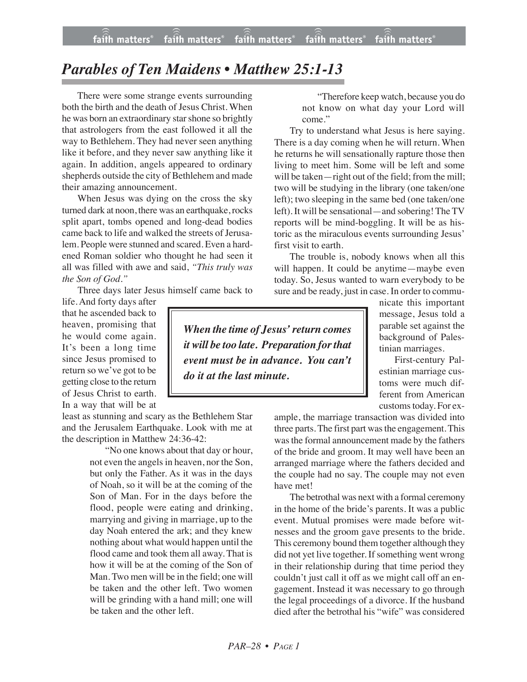## *Parables of Ten Maidens • Matthew 25:1-13*

There were some strange events surrounding both the birth and the death of Jesus Christ. When he was born an extraordinary star shone so brightly that astrologers from the east followed it all the way to Bethlehem. They had never seen anything like it before, and they never saw anything like it again. In addition, angels appeared to ordinary shepherds outside the city of Bethlehem and made their amazing announcement.

When Jesus was dying on the cross the sky turned dark at noon, there was an earthquake, rocks split apart, tombs opened and long-dead bodies came back to life and walked the streets of Jerusalem. People were stunned and scared. Even a hardened Roman soldier who thought he had seen it all was filled with awe and said, *"This truly was the Son of God."*

Three days later Jesus himself came back to

life. And forty days after that he ascended back to heaven, promising that he would come again. It's been a long time since Jesus promised to return so we've got to be getting close to the return of Jesus Christ to earth. In a way that will be at

least as stunning and scary as the Bethlehem Star and the Jerusalem Earthquake. Look with me at the description in Matthew 24:36-42:

> "No one knows about that day or hour, not even the angels in heaven, nor the Son, but only the Father. As it was in the days of Noah, so it will be at the coming of the Son of Man. For in the days before the flood, people were eating and drinking, marrying and giving in marriage, up to the day Noah entered the ark; and they knew nothing about what would happen until the flood came and took them all away. That is how it will be at the coming of the Son of Man. Two men will be in the field; one will be taken and the other left. Two women will be grinding with a hand mill; one will be taken and the other left.

"Therefore keep watch, because you do not know on what day your Lord will come."

Try to understand what Jesus is here saying. There is a day coming when he will return. When he returns he will sensationally rapture those then living to meet him. Some will be left and some will be taken—right out of the field; from the mill; two will be studying in the library (one taken/one left); two sleeping in the same bed (one taken/one left). It will be sensational—and sobering! The TV reports will be mind-boggling. It will be as historic as the miraculous events surrounding Jesus' first visit to earth.

The trouble is, nobody knows when all this will happen. It could be anytime—maybe even today. So, Jesus wanted to warn everybody to be sure and be ready, just in case. In order to commu-

*When the time of Jesus'return comes it will be too late. Preparation forthat event must be in advance. You can't do it at the last minute.*

nicate this important message, Jesus told a parable set against the background of Palestinian marriages.

First-century Palestinian marriage customs were much different from American customs today. For ex-

ample, the marriage transaction was divided into three parts. The first part was the engagement. This wasthe formal announcement made by the fathers of the bride and groom. It may well have been an arranged marriage where the fathers decided and the couple had no say. The couple may not even have met!

The betrothal was next with a formal ceremony in the home of the bride's parents. It was a public event. Mutual promises were made before witnesses and the groom gave presents to the bride. This ceremony bound them together although they did not yet live together. If something went wrong in their relationship during that time period they couldn't just call it off as we might call off an engagement. Instead it was necessary to go through the legal proceedings of a divorce. If the husband died after the betrothal his "wife" was considered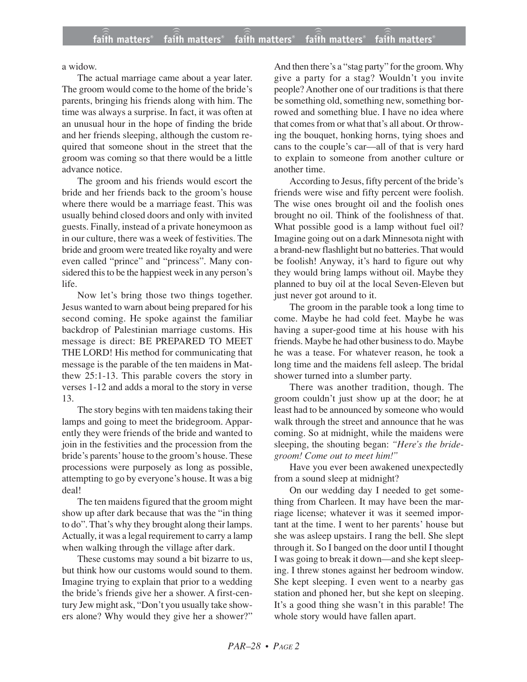a widow.

The actual marriage came about a year later. The groom would come to the home of the bride's parents, bringing his friends along with him. The time was always a surprise. In fact, it was often at an unusual hour in the hope of finding the bride and her friends sleeping, although the custom required that someone shout in the street that the groom was coming so that there would be a little advance notice.

The groom and his friends would escort the bride and her friends back to the groom's house where there would be a marriage feast. This was usually behind closed doors and only with invited guests. Finally, instead of a private honeymoon as in our culture, there was a week of festivities. The bride and groom were treated like royalty and were even called "prince" and "princess". Many considered this to be the happiest week in any person's life.

Now let's bring those two things together. Jesus wanted to warn about being prepared for his second coming. He spoke against the familiar backdrop of Palestinian marriage customs. His message is direct: BE PREPARED TO MEET THE LORD! His method for communicating that message is the parable of the ten maidens in Matthew 25:1-13. This parable covers the story in verses 1-12 and adds a moral to the story in verse 13.

The story begins with ten maidens taking their lamps and going to meet the bridegroom. Apparently they were friends of the bride and wanted to join in the festivities and the procession from the bride's parents' house to the groom's house. These processions were purposely as long as possible, attempting to go by everyone's house. It was a big deal!

The ten maidens figured that the groom might show up after dark because that was the "in thing to do". That's why they brought along their lamps. Actually, it was a legal requirement to carry a lamp when walking through the village after dark.

These customs may sound a bit bizarre to us, but think how our customs would sound to them. Imagine trying to explain that prior to a wedding the bride's friends give her a shower. A first-century Jew might ask, "Don't you usually take showers alone? Why would they give her a shower?" And then there's a "stag party" for the groom. Why give a party for a stag? Wouldn't you invite people? Another one of our traditions is that there be something old, something new, something borrowed and something blue. I have no idea where that comes from or what that's all about. Or throwing the bouquet, honking horns, tying shoes and cans to the couple's car—all of that is very hard to explain to someone from another culture or another time.

According to Jesus, fifty percent of the bride's friends were wise and fifty percent were foolish. The wise ones brought oil and the foolish ones brought no oil. Think of the foolishness of that. What possible good is a lamp without fuel oil? Imagine going out on a dark Minnesota night with a brand-new flashlight but no batteries. That would be foolish! Anyway, it's hard to figure out why they would bring lamps without oil. Maybe they planned to buy oil at the local Seven-Eleven but just never got around to it.

The groom in the parable took a long time to come. Maybe he had cold feet. Maybe he was having a super-good time at his house with his friends. Maybe he had other business to do. Maybe he was a tease. For whatever reason, he took a long time and the maidens fell asleep. The bridal shower turned into a slumber party.

There was another tradition, though. The groom couldn't just show up at the door; he at least had to be announced by someone who would walk through the street and announce that he was coming. So at midnight, while the maidens were sleeping, the shouting began: *"Here's the bridegroom! Come out to meet him!"*

Have you ever been awakened unexpectedly from a sound sleep at midnight?

On our wedding day I needed to get something from Charleen. It may have been the marriage license; whatever it was it seemed important at the time. I went to her parents' house but she was asleep upstairs. I rang the bell. She slept through it. So I banged on the door until I thought I was going to break it down—and she kept sleeping. I threw stones against her bedroom window. She kept sleeping. I even went to a nearby gas station and phoned her, but she kept on sleeping. It's a good thing she wasn't in this parable! The whole story would have fallen apart.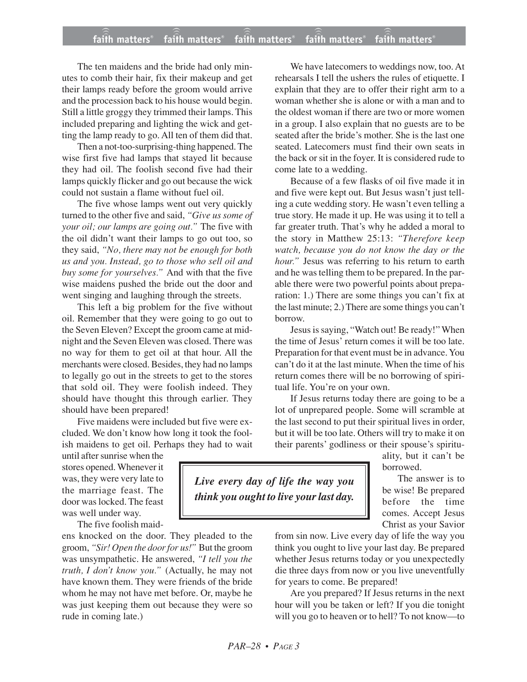The ten maidens and the bride had only minutes to comb their hair, fix their makeup and get their lamps ready before the groom would arrive and the procession back to his house would begin. Still a little groggy they trimmed their lamps. This included preparing and lighting the wick and getting the lamp ready to go. All ten of them did that.

Then a not-too-surprising-thing happened. The wise first five had lamps that stayed lit because they had oil. The foolish second five had their lamps quickly flicker and go out because the wick could not sustain a flame without fuel oil.

The five whose lamps went out very quickly turned to the other five and said, *"Give us some of your oil; our lamps are going out."* The five with the oil didn't want their lamps to go out too, so they said, *"No, there may not be enough for both us and you. Instead, go to those who sell oil and buy some for yourselves."* And with that the five wise maidens pushed the bride out the door and went singing and laughing through the streets.

This left a big problem for the five without oil. Remember that they were going to go out to the Seven Eleven? Except the groom came at midnight and the Seven Eleven was closed. There was no way for them to get oil at that hour. All the merchants were closed. Besides, they had no lamps to legally go out in the streets to get to the stores that sold oil. They were foolish indeed. They should have thought this through earlier. They should have been prepared!

Five maidens were included but five were excluded. We don't know how long it took the foolish maidens to get oil. Perhaps they had to wait

until after sunrise when the stores opened. Whenever it was, they were very late to the marriage feast. The door was locked. The feast was well under way.

The five foolish maid-

ens knocked on the door. They pleaded to the groom, "Sir! Open the door for us!" But the groom was unsympathetic. He answered, *"I tell you the truth, I don't know you."* (Actually, he may not have known them. They were friends of the bride whom he may not have met before. Or, maybe he was just keeping them out because they were so rude in coming late.)

We have latecomers to weddings now, too. At rehearsals I tell the ushers the rules of etiquette. I explain that they are to offer their right arm to a woman whether she is alone or with a man and to the oldest woman if there are two or more women in a group. I also explain that no guests are to be seated after the bride's mother. She is the last one seated. Latecomers must find their own seats in the back or sit in the foyer. It is considered rude to come late to a wedding.

Because of a few flasks of oil five made it in and five were kept out. But Jesus wasn't just telling a cute wedding story. He wasn't even telling a true story. He made it up. He was using it to tell a far greater truth. That's why he added a moral to the story in Matthew 25:13: *"Therefore keep watch, because you do not know the day or the hour."* Jesus was referring to his return to earth and he was telling them to be prepared. In the parable there were two powerful points about preparation: 1.) There are some things you can't fix at the last minute; 2.) There are some things you can't borrow.

Jesus is saying, "Watch out! Be ready!" When the time of Jesus' return comes it will be too late. Preparation for that event must be in advance. You can't do it at the last minute. When the time of his return comes there will be no borrowing of spiritual life. You're on your own.

If Jesus returns today there are going to be a lot of unprepared people. Some will scramble at the last second to put their spiritual lives in order, but it will be too late. Others will try to make it on their parents' godliness or their spouse's spiritu-

ality, but it can't be borrowed.

The answer is to be wise! Be prepared before the time comes. Accept Jesus Christ as your Savior

from sin now. Live every day of life the way you think you ought to live your last day. Be prepared whether Jesus returns today or you unexpectedly die three days from now or you live uneventfully for years to come. Be prepared!

Are you prepared? If Jesus returns in the next hour will you be taken or left? If you die tonight will you go to heaven or to hell? To not know—to

*Live every day of life the way you think you ought to live your last day.*